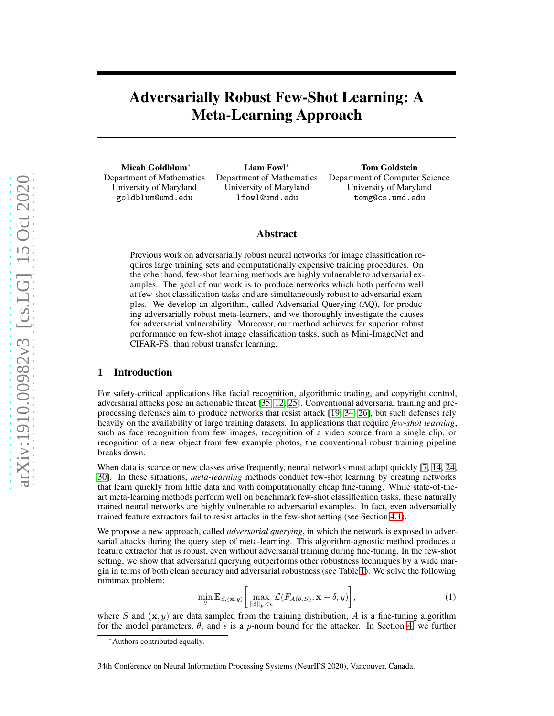# Adversarially Robust Few-Shot Learning: A Meta-Learning Approach

Micah Goldblum<sup>∗</sup> Department of Mathematics University of Maryland goldblum@umd.edu

Liam Fowl<sup>∗</sup> Department of Mathematics University of Maryland lfowl@umd.edu

Tom Goldstein Department of Computer Science University of Maryland tomg@cs.umd.edu

# Abstract

Previous work on adversarially robust neural networks for image classification requires large training sets and computationally expensive training procedures. On the other hand, few-shot learning methods are highly vulnerable to adversarial examples. The goal of our work is to produce networks which both perform well at few-shot classification tasks and are simultaneously robust to adversarial examples. We develop an algorithm, called Adversarial Querying (AQ), for producing adversarially robust meta-learners, and we thoroughly investigate the causes for adversarial vulnerability. Moreover, our method achieves far superior robust performance on few-shot image classification tasks, such as Mini-ImageNet and CIFAR-FS, than robust transfer learning.

# 1 Introduction

For safety-critical applications like facial recognition, algorithmic trading, and copyright control, adversarial attacks pose an actionable threat [\[35,](#page-9-0) [12,](#page-8-0) [25\]](#page-9-1). Conventional adversarial training and preprocessing defenses aim to produce networks that resist attack [\[19,](#page-9-2) [34,](#page-9-3) [26\]](#page-9-4), but such defenses rely heavily on the availability of large training datasets. In applications that require *few-shot learning*, such as face recognition from few images, recognition of a video source from a single clip, or recognition of a new object from few example photos, the conventional robust training pipeline breaks down.

When data is scarce or new classes arise frequently, neural networks must adapt quickly [\[7,](#page-8-1) [14,](#page-8-2) [24,](#page-9-5) [30\]](#page-9-6). In these situations, *meta-learning* methods conduct few-shot learning by creating networks that learn quickly from little data and with computationally cheap fine-tuning. While state-of-theart meta-learning methods perform well on benchmark few-shot classification tasks, these naturally trained neural networks are highly vulnerable to adversarial examples. In fact, even adversarially trained feature extractors fail to resist attacks in the few-shot setting (see Section [4.1\)](#page-4-0).

We propose a new approach, called *adversarial querying*, in which the network is exposed to adversarial attacks during the query step of meta-learning. This algorithm-agnostic method produces a feature extractor that is robust, even without adversarial training during fine-tuning. In the few-shot setting, we show that adversarial querying outperforms other robustness techniques by a wide margin in terms of both clean accuracy and adversarial robustness (see Table [1\)](#page-1-0). We solve the following minimax problem:

<span id="page-0-0"></span>
$$
\min_{\theta} \mathbb{E}_{S,(\mathbf{x},y)} \bigg[ \max_{\|\delta\|_p < \epsilon} \mathcal{L}(F_{A(\theta,S)}, \mathbf{x} + \delta, y) \bigg],\tag{1}
$$

where S and  $(x, y)$  are data sampled from the training distribution, A is a fine-tuning algorithm for the model parameters,  $\theta$ , and  $\epsilon$  is a p-norm bound for the attacker. In Section [4,](#page-3-0) we further

<sup>∗</sup>Authors contributed equally.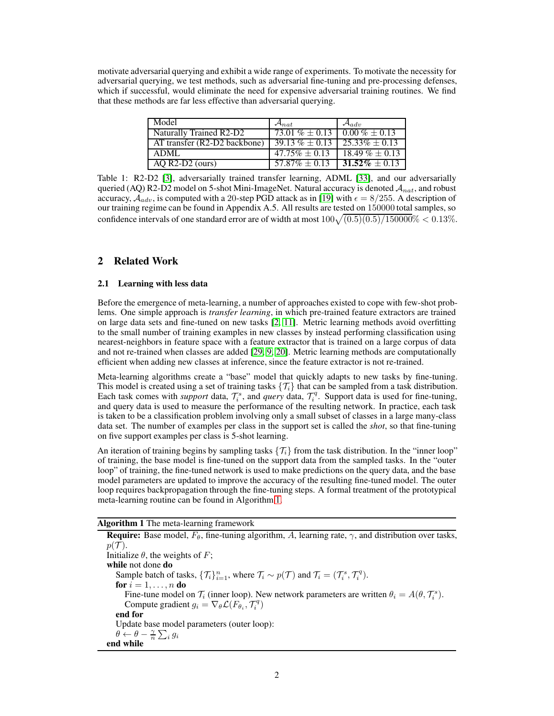motivate adversarial querying and exhibit a wide range of experiments. To motivate the necessity for adversarial querying, we test methods, such as adversarial fine-tuning and pre-processing defenses, which if successful, would eliminate the need for expensive adversarial training routines. We find that these methods are far less effective than adversarial querying.

| Model                        | $\mathcal{A}_{nat}$                     | $\mathcal{A}_{adv}$ |
|------------------------------|-----------------------------------------|---------------------|
| Naturally Trained R2-D2      | 73.01 % $\pm$ 0.13   0.00 % $\pm$ 0.13  |                     |
| AT transfer (R2-D2 backbone) | $39.13\% \pm 0.13$   $25.33\% \pm 0.13$ |                     |
| ADML                         | $47.75\% \pm 0.13$                      | $18.49\% \pm 0.13$  |
| AQ R2-D2 (ours)              | $57.87\% \pm 0.13$   31.52\% $\pm 0.13$ |                     |

<span id="page-1-0"></span>Table 1: R2-D2 [\[3\]](#page-8-3), adversarially trained transfer learning, ADML [\[33\]](#page-9-7), and our adversarially queried (AQ) R2-D2 model on 5-shot Mini-ImageNet. Natural accuracy is denoted  $A_{nat}$ , and robust accuracy,  $A_{adv}$ , is computed with a 20-step PGD attack as in [\[19\]](#page-9-2) with  $\epsilon = 8/255$ . A description of our training regime can be found in Appendix A.5. All results are tested on 150000 total samples, so confidence intervals of one standard error are of width at most  $100\sqrt{(0.5)(0.5)/150000}\% < 0.13\%$ .

# 2 Related Work

## 2.1 Learning with less data

Before the emergence of meta-learning, a number of approaches existed to cope with few-shot problems. One simple approach is *transfer learning*, in which pre-trained feature extractors are trained on large data sets and fine-tuned on new tasks [\[2,](#page-8-4) [11\]](#page-8-5). Metric learning methods avoid overfitting to the small number of training examples in new classes by instead performing classification using nearest-neighbors in feature space with a feature extractor that is trained on a large corpus of data and not re-trained when classes are added [\[29,](#page-9-8) [9,](#page-8-6) [20\]](#page-9-9). Metric learning methods are computationally efficient when adding new classes at inference, since the feature extractor is not re-trained.

Meta-learning algorithms create a "base" model that quickly adapts to new tasks by fine-tuning. This model is created using a set of training tasks  $\{\mathcal{T}_i\}$  that can be sampled from a task distribution. Each task comes with *support* data,  $\mathcal{T}_i^s$ , and *query* data,  $\mathcal{T}_i^q$ . Support data is used for fine-tuning, and query data is used to measure the performance of the resulting network. In practice, each task is taken to be a classification problem involving only a small subset of classes in a large many-class data set. The number of examples per class in the support set is called the *shot*, so that fine-tuning on five support examples per class is 5-shot learning.

An iteration of training begins by sampling tasks  $\{\mathcal{T}_i\}$  from the task distribution. In the "inner loop" of training, the base model is fine-tuned on the support data from the sampled tasks. In the "outer loop" of training, the fine-tuned network is used to make predictions on the query data, and the base model parameters are updated to improve the accuracy of the resulting fine-tuned model. The outer loop requires backpropagation through the fine-tuning steps. A formal treatment of the prototypical meta-learning routine can be found in Algorithm [1.](#page-1-1)

## Algorithm 1 The meta-learning framework

<span id="page-1-1"></span>**Require:** Base model,  $F_{\theta}$ , fine-tuning algorithm, A, learning rate,  $\gamma$ , and distribution over tasks,  $p(\mathcal{T}).$ Initialize  $θ$ , the weights of F; while not done do Sample batch of tasks,  $\{\mathcal{T}_i\}_{i=1}^n$ , where  $\mathcal{T}_i \sim p(\mathcal{T})$  and  $\mathcal{T}_i = (\mathcal{T}_i^s, \mathcal{T}_i^q)$ . for  $i = 1, \ldots, n$  do Fine-tune model on  $\mathcal{T}_i$  (inner loop). New network parameters are written  $\theta_i = A(\theta, \mathcal{T}_i^s)$ . Compute gradient  $g_i = \nabla_{\theta} \mathcal{L}(F_{\theta_i}, T_i^q)$ end for Update base model parameters (outer loop):  $\theta \leftarrow \theta - \frac{\gamma}{n} \sum_i g_i$ end while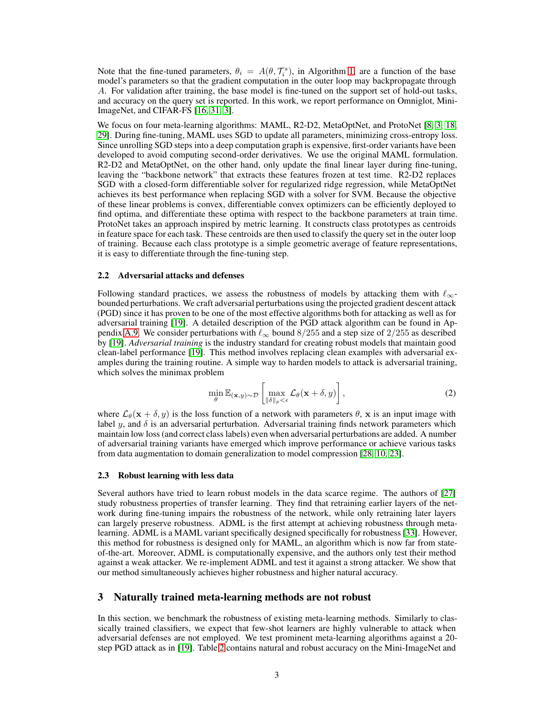Note that the fine-tuned parameters,  $\theta_i = A(\theta, \mathcal{T}_i^s)$ , in Algorithm [1,](#page-1-1) are a function of the base model's parameters so that the gradient computation in the outer loop may backpropagate through A. For validation after training, the base model is fine-tuned on the support set of hold-out tasks, and accuracy on the query set is reported. In this work, we report performance on Omniglot, Mini-ImageNet, and CIFAR-FS [\[16,](#page-8-7) [31,](#page-9-10) [3\]](#page-8-3).

We focus on four meta-learning algorithms: MAML, R2-D2, MetaOptNet, and ProtoNet [\[8,](#page-8-8) [3,](#page-8-3) [18,](#page-9-11) [29\]](#page-9-8). During fine-tuning, MAML uses SGD to update all parameters, minimizing cross-entropy loss. Since unrolling SGD steps into a deep computation graph is expensive, first-order variants have been developed to avoid computing second-order derivatives. We use the original MAML formulation. R2-D2 and MetaOptNet, on the other hand, only update the final linear layer during fine-tuning, leaving the "backbone network" that extracts these features frozen at test time. R2-D2 replaces SGD with a closed-form differentiable solver for regularized ridge regression, while MetaOptNet achieves its best performance when replacing SGD with a solver for SVM. Because the objective of these linear problems is convex, differentiable convex optimizers can be efficiently deployed to find optima, and differentiate these optima with respect to the backbone parameters at train time. ProtoNet takes an approach inspired by metric learning. It constructs class prototypes as centroids in feature space for each task. These centroids are then used to classify the query set in the outer loop of training. Because each class prototype is a simple geometric average of feature representations, it is easy to differentiate through the fine-tuning step.

### 2.2 Adversarial attacks and defenses

Following standard practices, we assess the robustness of models by attacking them with  $\ell_{\infty}$ bounded perturbations. We craft adversarial perturbations using the projected gradient descent attack (PGD) since it has proven to be one of the most effective algorithms both for attacking as well as for adversarial training [\[19\]](#page-9-2). A detailed description of the PGD attack algorithm can be found in Ap-pendix [A.9.](#page-13-0) We consider perturbations with  $\ell_{\infty}$  bound 8/255 and a step size of 2/255 as described by [\[19\]](#page-9-2). *Adversarial training* is the industry standard for creating robust models that maintain good clean-label performance [\[19\]](#page-9-2). This method involves replacing clean examples with adversarial examples during the training routine. A simple way to harden models to attack is adversarial training, which solves the minimax problem

$$
\min_{\theta} \mathbb{E}_{(\mathbf{x}, y) \sim \mathcal{D}} \left[ \max_{\|\delta\|_p < \epsilon} \mathcal{L}_{\theta}(\mathbf{x} + \delta, y) \right],\tag{2}
$$

where  $\mathcal{L}_{\theta}(\mathbf{x} + \delta, y)$  is the loss function of a network with parameters  $\theta$ , x is an input image with label  $y$ , and  $\delta$  is an adversarial perturbation. Adversarial training finds network parameters which maintain low loss (and correct class labels) even when adversarial perturbations are added. A number of adversarial training variants have emerged which improve performance or achieve various tasks from data augmentation to domain generalization to model compression [\[28,](#page-9-12) [10,](#page-8-9) [23\]](#page-9-13).

#### 2.3 Robust learning with less data

Several authors have tried to learn robust models in the data scarce regime. The authors of [\[27\]](#page-9-14) study robustness properties of transfer learning. They find that retraining earlier layers of the network during fine-tuning impairs the robustness of the network, while only retraining later layers can largely preserve robustness. ADML is the first attempt at achieving robustness through metalearning. ADML is a MAML variant specifically designed specifically for robustness [\[33\]](#page-9-7). However, this method for robustness is designed only for MAML, an algorithm which is now far from stateof-the-art. Moreover, ADML is computationally expensive, and the authors only test their method against a weak attacker. We re-implement ADML and test it against a strong attacker. We show that our method simultaneously achieves higher robustness and higher natural accuracy.

### 3 Naturally trained meta-learning methods are not robust

In this section, we benchmark the robustness of existing meta-learning methods. Similarly to classically trained classifiers, we expect that few-shot learners are highly vulnerable to attack when adversarial defenses are not employed. We test prominent meta-learning algorithms against a 20 step PGD attack as in [\[19\]](#page-9-2). Table [2](#page-3-1) contains natural and robust accuracy on the Mini-ImageNet and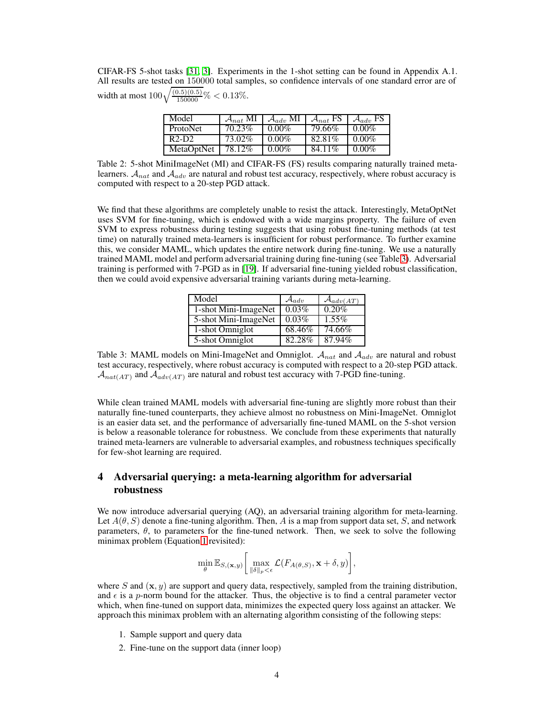CIFAR-FS 5-shot tasks [\[31,](#page-9-10) [3\]](#page-8-3). Experiments in the 1-shot setting can be found in Appendix A.1. All results are tested on 150000 total samples, so confidence intervals of one standard error are of width at most  $100\sqrt{\frac{(0.5)(0.5)}{150000}}\% < 0.13\%$ .

| Model           | $\mathcal{A}_{nat}$ MI | $\mathcal{A}_{adv}$ MI | $\mathcal{A}_{nat}$ FS $\mathcal{A}_{adv}$ FS |          |
|-----------------|------------------------|------------------------|-----------------------------------------------|----------|
| <b>ProtoNet</b> | 70.23%                 | $0.00\%$               | 79.66%                                        | $0.00\%$ |
| $R2-D2$         | 73.02%                 | $0.00\%$               | 82.81%                                        | $0.00\%$ |
| MetaOptNet      | 78.12%                 | $0.00\%$               | 84.11%                                        | $0.00\%$ |

<span id="page-3-1"></span>Table 2: 5-shot MiniImageNet (MI) and CIFAR-FS (FS) results comparing naturally trained metalearners.  $A_{nat}$  and  $A_{adv}$  are natural and robust test accuracy, respectively, where robust accuracy is computed with respect to a 20-step PGD attack.

We find that these algorithms are completely unable to resist the attack. Interestingly, MetaOptNet uses SVM for fine-tuning, which is endowed with a wide margins property. The failure of even SVM to express robustness during testing suggests that using robust fine-tuning methods (at test time) on naturally trained meta-learners is insufficient for robust performance. To further examine this, we consider MAML, which updates the entire network during fine-tuning. We use a naturally trained MAML model and perform adversarial training during fine-tuning (see Table [3\)](#page-3-2). Adversarial training is performed with 7-PGD as in [\[19\]](#page-9-2). If adversarial fine-tuning yielded robust classification, then we could avoid expensive adversarial training variants during meta-learning.

| Model                              | $\mathcal{A}_{adv}$ | $\mathcal{A}_{adv(AT)}$ |
|------------------------------------|---------------------|-------------------------|
| $\overline{1}$ -shot Mini-ImageNet | 0.03%               | $0.20\%$                |
| 5-shot Mini-ImageNet               | 0.03%               | $1.55\%$                |
| 1-shot Omniglot                    | 68.46%              | 74.66%                  |
| 5-shot Omniglot                    | 82.28%              | 87.94%                  |

<span id="page-3-2"></span>Table 3: MAML models on Mini-ImageNet and Omniglot.  $A_{nat}$  and  $A_{adv}$  are natural and robust test accuracy, respectively, where robust accuracy is computed with respect to a 20-step PGD attack.  $\mathcal{A}_{nat(AT)}$  and  $\mathcal{A}_{adv(AT)}$  are natural and robust test accuracy with 7-PGD fine-tuning.

While clean trained MAML models with adversarial fine-tuning are slightly more robust than their naturally fine-tuned counterparts, they achieve almost no robustness on Mini-ImageNet. Omniglot is an easier data set, and the performance of adversarially fine-tuned MAML on the 5-shot version is below a reasonable tolerance for robustness. We conclude from these experiments that naturally trained meta-learners are vulnerable to adversarial examples, and robustness techniques specifically for few-shot learning are required.

# <span id="page-3-0"></span>4 Adversarial querying: a meta-learning algorithm for adversarial robustness

We now introduce adversarial querying (AQ), an adversarial training algorithm for meta-learning. Let  $A(\theta, S)$  denote a fine-tuning algorithm. Then, A is a map from support data set, S, and network parameters,  $\theta$ , to parameters for the fine-tuned network. Then, we seek to solve the following minimax problem (Equation [1](#page-0-0) revisited):

$$
\min_{\theta} \mathbb{E}_{S,(\mathbf{x},y)} \bigg[ \max_{\|\delta\|_p < \epsilon} \mathcal{L}(F_{A(\theta,S)}, \mathbf{x} + \delta, y) \bigg],
$$

where S and  $(x, y)$  are support and query data, respectively, sampled from the training distribution, and  $\epsilon$  is a p-norm bound for the attacker. Thus, the objective is to find a central parameter vector which, when fine-tuned on support data, minimizes the expected query loss against an attacker. We approach this minimax problem with an alternating algorithm consisting of the following steps:

- 1. Sample support and query data
- 2. Fine-tune on the support data (inner loop)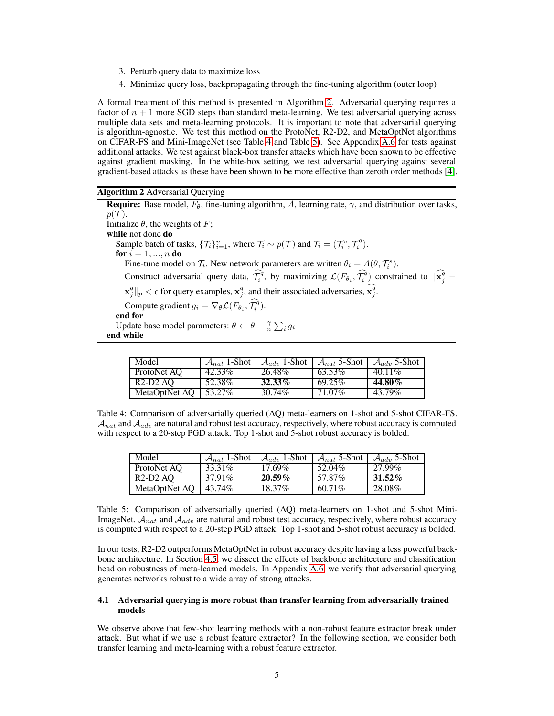- 3. Perturb query data to maximize loss
- 4. Minimize query loss, backpropagating through the fine-tuning algorithm (outer loop)

A formal treatment of this method is presented in Algorithm [2.](#page-4-1) Adversarial querying requires a factor of  $n + 1$  more SGD steps than standard meta-learning. We test adversarial querying across multiple data sets and meta-learning protocols. It is important to note that adversarial querying is algorithm-agnostic. We test this method on the ProtoNet, R2-D2, and MetaOptNet algorithms on CIFAR-FS and Mini-ImageNet (see Table [4](#page-4-2) and Table [5\)](#page-4-3). See Appendix [A.6](#page-12-0) for tests against additional attacks. We test against black-box transfer attacks which have been shown to be effective against gradient masking. In the white-box setting, we test adversarial querying against several gradient-based attacks as these have been shown to be more effective than zeroth order methods [\[4\]](#page-8-10).

<span id="page-4-1"></span>Algorithm 2 Adversarial Querying

**Require:** Base model,  $F_{\theta}$ , fine-tuning algorithm, A, learning rate,  $\gamma$ , and distribution over tasks,  $p(\mathcal{T}).$ Initialize  $\theta$ , the weights of F; while not done do Sample batch of tasks,  $\{\mathcal{T}_i\}_{i=1}^n$ , where  $\mathcal{T}_i \sim p(\mathcal{T})$  and  $\mathcal{T}_i = (\mathcal{T}_i^s, \mathcal{T}_i^q)$ . for  $i = 1, ..., n$  do Fine-tune model on  $\mathcal{T}_i$ . New network parameters are written  $\theta_i = A(\theta, \mathcal{T}_i^s)$ . Construct adversarial query data,  $\widehat{\mathcal{T}_i^q}$ , by maximizing  $\mathcal{L}(F_{\theta_i}, \widehat{\mathcal{T}_i^q})$  constrained to  $\|\widehat{\mathbf{x}_j^q} - \widehat{\mathbf{x}_j^q}\|$  $\|\mathbf{x}_j^q\|_p < \epsilon$  for query examples,  $\mathbf{x}_j^q$ , and their associated adversaries,  $\widehat{\mathbf{x}_j^q}$ . Compute gradient  $g_i = \nabla_{\theta} \mathcal{L}(F_{\theta_i}, \widehat{\mathcal{T}_i^q}).$ end for Update base model parameters:  $\theta \leftarrow \theta - \frac{\gamma}{n} \sum_i g_i$ end while

| Model         | $\mathcal{A}_{nat}$ 1-Shot | $\mathcal{A}_{adv}$ 1-Shot | $\mathcal{A}_{nat}$ 5-Shot | $\mathcal{A}_{adv}$ 5-Shot |
|---------------|----------------------------|----------------------------|----------------------------|----------------------------|
| ProtoNet AO   | 42.33%                     | 26.48%                     | 63.53%                     | $40.11\%$                  |
| R2-D2 AO      | 52.38%                     | $32.33\%$                  | 69.25%                     | 44.80%                     |
| MetaOptNet AO | 53.27%                     | 30.74%                     | 71.07%                     | 43.79%                     |

<span id="page-4-2"></span>Table 4: Comparison of adversarially queried (AQ) meta-learners on 1-shot and 5-shot CIFAR-FS.  $A_{nat}$  and  $A_{adv}$  are natural and robust test accuracy, respectively, where robust accuracy is computed with respect to a 20-step PGD attack. Top 1-shot and 5-shot robust accuracy is bolded.

| Model         | $\mathcal{A}_{nat}$ 1-Shot | $\mathcal{A}_{adv}$ 1-Shot | $A_{nat}$ 5-Shot | $\mathcal{A}_{adv}$ 5-Shot |
|---------------|----------------------------|----------------------------|------------------|----------------------------|
| ProtoNet AO   | 33.31\%                    | 17.69%                     | 52.04%           | $27.99\%$                  |
| $R2-D2AO$     | 37.91%                     | $20.59\%$                  | 57.87%           | $31.52\%$                  |
| MetaOptNet AO | 43.74%                     | 18.37%                     | 60.71%           | 28.08%                     |

<span id="page-4-3"></span>Table 5: Comparison of adversarially queried (AQ) meta-learners on 1-shot and 5-shot Mini-ImageNet.  $A_{nat}$  and  $A_{adv}$  are natural and robust test accuracy, respectively, where robust accuracy is computed with respect to a 20-step PGD attack. Top 1-shot and 5-shot robust accuracy is bolded.

In our tests, R2-D2 outperforms MetaOptNet in robust accuracy despite having a less powerful backbone architecture. In Section [4.5,](#page-6-0) we dissect the effects of backbone architecture and classification head on robustness of meta-learned models. In Appendix [A.6,](#page-12-0) we verify that adversarial querying generates networks robust to a wide array of strong attacks.

### <span id="page-4-0"></span>4.1 Adversarial querying is more robust than transfer learning from adversarially trained models

We observe above that few-shot learning methods with a non-robust feature extractor break under attack. But what if we use a robust feature extractor? In the following section, we consider both transfer learning and meta-learning with a robust feature extractor.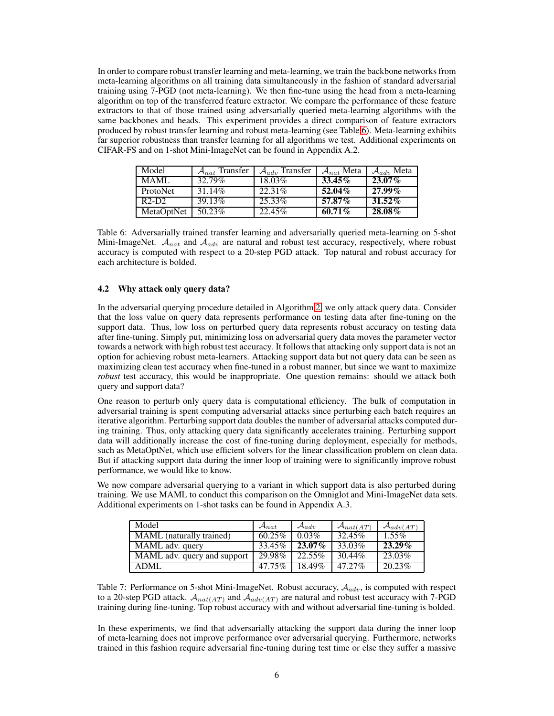In order to compare robust transfer learning and meta-learning, we train the backbone networks from meta-learning algorithms on all training data simultaneously in the fashion of standard adversarial training using 7-PGD (not meta-learning). We then fine-tune using the head from a meta-learning algorithm on top of the transferred feature extractor. We compare the performance of these feature extractors to that of those trained using adversarially queried meta-learning algorithms with the same backbones and heads. This experiment provides a direct comparison of feature extractors produced by robust transfer learning and robust meta-learning (see Table [6\)](#page-5-0). Meta-learning exhibits far superior robustness than transfer learning for all algorithms we test. Additional experiments on CIFAR-FS and on 1-shot Mini-ImageNet can be found in Appendix A.2.

| Model      | $A_{nat}$ Transfer | $\mathcal{A}_{adv}$ Transfer | $\mathcal{A}_{nat}$ Meta | $\mathcal{A}_{adv}$ Meta |
|------------|--------------------|------------------------------|--------------------------|--------------------------|
| MAML       | 32.79%             | 18.03%                       | $33.45\%$                | $23.07\%$                |
| ProtoNet   | 31.14%             | 22.31\%                      | $52.04\%$                | $27.99\%$                |
| $R2-D2$    | 39.13%             | 25.33%                       | 57.87%                   | $31.52\%$                |
| MetaOptNet | 50.23%             | 22.45%                       | $60.71\%$                | 28.08%                   |

<span id="page-5-0"></span>Table 6: Adversarially trained transfer learning and adversarially queried meta-learning on 5-shot Mini-ImageNet.  $A_{nat}$  and  $A_{adv}$  are natural and robust test accuracy, respectively, where robust accuracy is computed with respect to a 20-step PGD attack. Top natural and robust accuracy for each architecture is bolded.

## 4.2 Why attack only query data?

In the adversarial querying procedure detailed in Algorithm [2,](#page-4-1) we only attack query data. Consider that the loss value on query data represents performance on testing data after fine-tuning on the support data. Thus, low loss on perturbed query data represents robust accuracy on testing data after fine-tuning. Simply put, minimizing loss on adversarial query data moves the parameter vector towards a network with high robust test accuracy. It follows that attacking only support data is not an option for achieving robust meta-learners. Attacking support data but not query data can be seen as maximizing clean test accuracy when fine-tuned in a robust manner, but since we want to maximize *robust* test accuracy, this would be inappropriate. One question remains: should we attack both query and support data?

One reason to perturb only query data is computational efficiency. The bulk of computation in adversarial training is spent computing adversarial attacks since perturbing each batch requires an iterative algorithm. Perturbing support data doubles the number of adversarial attacks computed during training. Thus, only attacking query data significantly accelerates training. Perturbing support data will additionally increase the cost of fine-tuning during deployment, especially for methods, such as MetaOptNet, which use efficient solvers for the linear classification problem on clean data. But if attacking support data during the inner loop of training were to significantly improve robust performance, we would like to know.

We now compare adversarial querying to a variant in which support data is also perturbed during training. We use MAML to conduct this comparison on the Omniglot and Mini-ImageNet data sets. Additional experiments on 1-shot tasks can be found in Appendix A.3.

| Model                       | $\mathcal{A}_{nat}$ | $\mathcal{A}_{adv}$ | $\mathcal{A}_{nat(AT)}$ | $\mathcal{A}_{adv(AT)}$ |
|-----------------------------|---------------------|---------------------|-------------------------|-------------------------|
| MAML (naturally trained)    | $60.25\%$           | $0.03\%$            | 32.45%                  | $1.55\%$                |
| MAML adv. query             | 33.45%              | $23.07\%$           | 33.03%                  | $23.29\%$               |
| MAML adv. query and support | 29.98%              | 22.55%              | 30.44%                  | 23.03%                  |
| ADML                        | $47.75\%$           | 18.49%              | $47.27\%$               | 20.23%                  |

Table 7: Performance on 5-shot Mini-ImageNet. Robust accuracy,  $A_{adv}$ , is computed with respect to a 20-step PGD attack.  $A_{nat(AT)}$  and  $A_{adv(AT)}$  are natural and robust test accuracy with 7-PGD training during fine-tuning. Top robust accuracy with and without adversarial fine-tuning is bolded.

In these experiments, we find that adversarially attacking the support data during the inner loop of meta-learning does not improve performance over adversarial querying. Furthermore, networks trained in this fashion require adversarial fine-tuning during test time or else they suffer a massive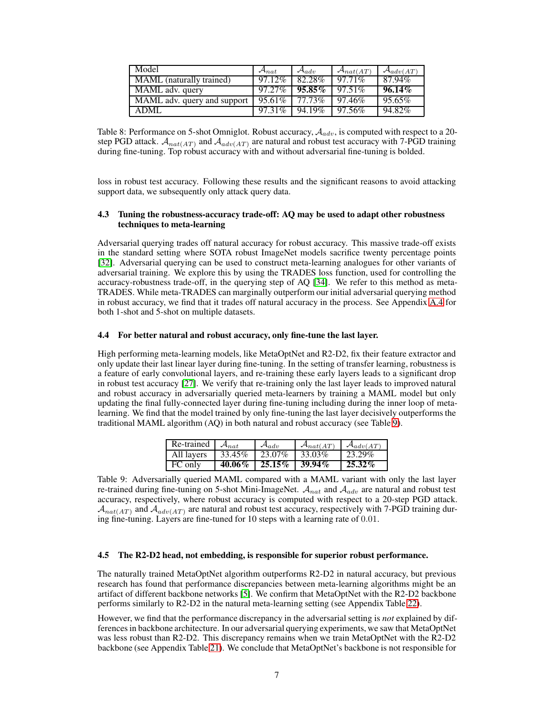| Model                               | $\mathcal{A}_{nat}$ | $\mathcal{A}_{adv}$ | $\mathcal{A}_{nat(AT)}$ | $\mathcal{A}_{adv(AT)}$ |
|-------------------------------------|---------------------|---------------------|-------------------------|-------------------------|
| MAML (naturally trained)            | 97.12%              | 82.28%              | $97.71\%$               | 87.94%                  |
| $\overline{\text{MAML}}$ adv. query | $97.27\%$           | $95.85\%$           | $97.51\%$               | $96.14\%$               |
| MAML adv. query and support         | 95.61%              | $77.73\%$           | 97.46%                  | 95.65%                  |
| ADML                                | $97.31\%$           | 94.19%              | 97.56%                  | 94.82%                  |

Table 8: Performance on 5-shot Omniglot. Robust accuracy,  $A_{adv}$ , is computed with respect to a 20step PGD attack.  $A_{nat(AT)}$  and  $A_{adv(AT)}$  are natural and robust test accuracy with 7-PGD training during fine-tuning. Top robust accuracy with and without adversarial fine-tuning is bolded.

loss in robust test accuracy. Following these results and the significant reasons to avoid attacking support data, we subsequently only attack query data.

### 4.3 Tuning the robustness-accuracy trade-off: AQ may be used to adapt other robustness techniques to meta-learning

Adversarial querying trades off natural accuracy for robust accuracy. This massive trade-off exists in the standard setting where SOTA robust ImageNet models sacrifice twenty percentage points [\[32\]](#page-9-15). Adversarial querying can be used to construct meta-learning analogues for other variants of adversarial training. We explore this by using the TRADES loss function, used for controlling the accuracy-robustness trade-off, in the querying step of AQ [\[34\]](#page-9-3). We refer to this method as meta-TRADES. While meta-TRADES can marginally outperform our initial adversarial querying method in robust accuracy, we find that it trades off natural accuracy in the process. See Appendix [A.4](#page-11-0) for both 1-shot and 5-shot on multiple datasets.

#### 4.4 For better natural and robust accuracy, only fine-tune the last layer.

High performing meta-learning models, like MetaOptNet and R2-D2, fix their feature extractor and only update their last linear layer during fine-tuning. In the setting of transfer learning, robustness is a feature of early convolutional layers, and re-training these early layers leads to a significant drop in robust test accuracy [\[27\]](#page-9-14). We verify that re-training only the last layer leads to improved natural and robust accuracy in adversarially queried meta-learners by training a MAML model but only updating the final fully-connected layer during fine-tuning including during the inner loop of metalearning. We find that the model trained by only fine-tuning the last layer decisively outperforms the traditional MAML algorithm (AQ) in both natural and robust accuracy (see Table [9\)](#page-6-1).

| Re-trained | $A_{nat}$ | $\mathcal{A}_{adv}$ | $\mathcal{A}_{nat(AT)}$ | $\mathcal{A}_{adv(AT)}$ |
|------------|-----------|---------------------|-------------------------|-------------------------|
| All lavers | 33.45%    | $-23.07\%$          | 33.03%                  | 23.29%                  |
| FC only    | $40.06\%$ | $25.15\%$           | $39.94\%$               | $25.32\%$               |

<span id="page-6-1"></span>Table 9: Adversarially queried MAML compared with a MAML variant with only the last layer re-trained during fine-tuning on 5-shot Mini-ImageNet.  $A_{nat}$  and  $A_{adv}$  are natural and robust test accuracy, respectively, where robust accuracy is computed with respect to a 20-step PGD attack.  $A_{nat(AT)}$  and  $A_{adv(AT)}$  are natural and robust test accuracy, respectively with 7-PGD training during fine-tuning. Layers are fine-tuned for 10 steps with a learning rate of 0.01.

#### <span id="page-6-0"></span>4.5 The R2-D2 head, not embedding, is responsible for superior robust performance.

The naturally trained MetaOptNet algorithm outperforms R2-D2 in natural accuracy, but previous research has found that performance discrepancies between meta-learning algorithms might be an artifact of different backbone networks [\[5\]](#page-8-11). We confirm that MetaOptNet with the R2-D2 backbone performs similarly to R2-D2 in the natural meta-learning setting (see Appendix Table [22\)](#page-13-1).

However, we find that the performance discrepancy in the adversarial setting is *not* explained by differences in backbone architecture. In our adversarial querying experiments, we saw that MetaOptNet was less robust than R2-D2. This discrepancy remains when we train MetaOptNet with the R2-D2 backbone (see Appendix Table [21\)](#page-12-1). We conclude that MetaOptNet's backbone is not responsible for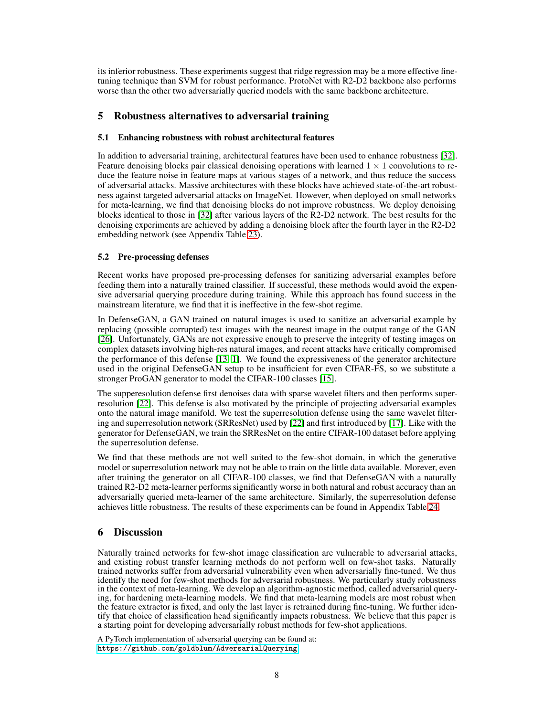its inferior robustness. These experiments suggest that ridge regression may be a more effective finetuning technique than SVM for robust performance. ProtoNet with R2-D2 backbone also performs worse than the other two adversarially queried models with the same backbone architecture.

# 5 Robustness alternatives to adversarial training

## 5.1 Enhancing robustness with robust architectural features

In addition to adversarial training, architectural features have been used to enhance robustness [\[32\]](#page-9-15). Feature denoising blocks pair classical denoising operations with learned  $1 \times 1$  convolutions to reduce the feature noise in feature maps at various stages of a network, and thus reduce the success of adversarial attacks. Massive architectures with these blocks have achieved state-of-the-art robustness against targeted adversarial attacks on ImageNet. However, when deployed on small networks for meta-learning, we find that denoising blocks do not improve robustness. We deploy denoising blocks identical to those in [\[32\]](#page-9-15) after various layers of the R2-D2 network. The best results for the denoising experiments are achieved by adding a denoising block after the fourth layer in the R2-D2 embedding network (see Appendix Table [23\)](#page-13-2).

# 5.2 Pre-processing defenses

Recent works have proposed pre-processing defenses for sanitizing adversarial examples before feeding them into a naturally trained classifier. If successful, these methods would avoid the expensive adversarial querying procedure during training. While this approach has found success in the mainstream literature, we find that it is ineffective in the few-shot regime.

In DefenseGAN, a GAN trained on natural images is used to sanitize an adversarial example by replacing (possible corrupted) test images with the nearest image in the output range of the GAN [\[26\]](#page-9-4). Unfortunately, GANs are not expressive enough to preserve the integrity of testing images on complex datasets involving high-res natural images, and recent attacks have critically compromised the performance of this defense [\[13,](#page-8-12) [1\]](#page-8-13). We found the expressiveness of the generator architecture used in the original DefenseGAN setup to be insufficient for even CIFAR-FS, so we substitute a stronger ProGAN generator to model the CIFAR-100 classes [\[15\]](#page-8-14).

The supperesolution defense first denoises data with sparse wavelet filters and then performs superresolution [\[22\]](#page-9-16). This defense is also motivated by the principle of projecting adversarial examples onto the natural image manifold. We test the superresolution defense using the same wavelet filtering and superresolution network (SRResNet) used by [\[22\]](#page-9-16) and first introduced by [\[17\]](#page-8-15). Like with the generator for DefenseGAN, we train the SRResNet on the entire CIFAR-100 dataset before applying the superresolution defense.

We find that these methods are not well suited to the few-shot domain, in which the generative model or superresolution network may not be able to train on the little data available. Morever, even after training the generator on all CIFAR-100 classes, we find that DefenseGAN with a naturally trained R2-D2 meta-learner performs significantly worse in both natural and robust accuracy than an adversarially queried meta-learner of the same architecture. Similarly, the superresolution defense achieves little robustness. The results of these experiments can be found in Appendix Table [24.](#page-13-3)

# 6 Discussion

Naturally trained networks for few-shot image classification are vulnerable to adversarial attacks, and existing robust transfer learning methods do not perform well on few-shot tasks. Naturally trained networks suffer from adversarial vulnerability even when adversarially fine-tuned. We thus identify the need for few-shot methods for adversarial robustness. We particularly study robustness in the context of meta-learning. We develop an algorithm-agnostic method, called adversarial querying, for hardening meta-learning models. We find that meta-learning models are most robust when the feature extractor is fixed, and only the last layer is retrained during fine-tuning. We further identify that choice of classification head significantly impacts robustness. We believe that this paper is a starting point for developing adversarially robust methods for few-shot applications.

A PyTorch implementation of adversarial querying can be found at: <https://github.com/goldblum/AdversarialQuerying>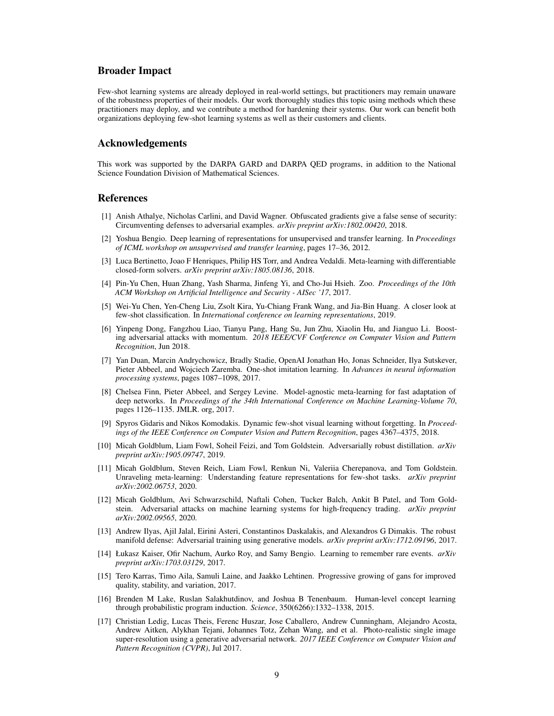## Broader Impact

Few-shot learning systems are already deployed in real-world settings, but practitioners may remain unaware of the robustness properties of their models. Our work thoroughly studies this topic using methods which these practitioners may deploy, and we contribute a method for hardening their systems. Our work can benefit both organizations deploying few-shot learning systems as well as their customers and clients.

# Acknowledgements

This work was supported by the DARPA GARD and DARPA QED programs, in addition to the National Science Foundation Division of Mathematical Sciences.

## <span id="page-8-13"></span>**References**

- [1] Anish Athalye, Nicholas Carlini, and David Wagner. Obfuscated gradients give a false sense of security: Circumventing defenses to adversarial examples. *arXiv preprint arXiv:1802.00420*, 2018.
- <span id="page-8-4"></span>[2] Yoshua Bengio. Deep learning of representations for unsupervised and transfer learning. In *Proceedings of ICML workshop on unsupervised and transfer learning*, pages 17–36, 2012.
- <span id="page-8-3"></span>[3] Luca Bertinetto, Joao F Henriques, Philip HS Torr, and Andrea Vedaldi. Meta-learning with differentiable closed-form solvers. *arXiv preprint arXiv:1805.08136*, 2018.
- <span id="page-8-10"></span>[4] Pin-Yu Chen, Huan Zhang, Yash Sharma, Jinfeng Yi, and Cho-Jui Hsieh. Zoo. *Proceedings of the 10th ACM Workshop on Artificial Intelligence and Security - AISec '17*, 2017.
- <span id="page-8-11"></span>[5] Wei-Yu Chen, Yen-Cheng Liu, Zsolt Kira, Yu-Chiang Frank Wang, and Jia-Bin Huang. A closer look at few-shot classification. In *International conference on learning representations*, 2019.
- <span id="page-8-16"></span>[6] Yinpeng Dong, Fangzhou Liao, Tianyu Pang, Hang Su, Jun Zhu, Xiaolin Hu, and Jianguo Li. Boosting adversarial attacks with momentum. *2018 IEEE/CVF Conference on Computer Vision and Pattern Recognition*, Jun 2018.
- <span id="page-8-1"></span>[7] Yan Duan, Marcin Andrychowicz, Bradly Stadie, OpenAI Jonathan Ho, Jonas Schneider, Ilya Sutskever, Pieter Abbeel, and Wojciech Zaremba. One-shot imitation learning. In *Advances in neural information processing systems*, pages 1087–1098, 2017.
- <span id="page-8-8"></span>[8] Chelsea Finn, Pieter Abbeel, and Sergey Levine. Model-agnostic meta-learning for fast adaptation of deep networks. In *Proceedings of the 34th International Conference on Machine Learning-Volume 70*, pages 1126–1135. JMLR. org, 2017.
- <span id="page-8-6"></span>[9] Spyros Gidaris and Nikos Komodakis. Dynamic few-shot visual learning without forgetting. In *Proceedings of the IEEE Conference on Computer Vision and Pattern Recognition*, pages 4367–4375, 2018.
- <span id="page-8-9"></span>[10] Micah Goldblum, Liam Fowl, Soheil Feizi, and Tom Goldstein. Adversarially robust distillation. *arXiv preprint arXiv:1905.09747*, 2019.
- <span id="page-8-5"></span>[11] Micah Goldblum, Steven Reich, Liam Fowl, Renkun Ni, Valeriia Cherepanova, and Tom Goldstein. Unraveling meta-learning: Understanding feature representations for few-shot tasks. *arXiv preprint arXiv:2002.06753*, 2020.
- <span id="page-8-0"></span>[12] Micah Goldblum, Avi Schwarzschild, Naftali Cohen, Tucker Balch, Ankit B Patel, and Tom Goldstein. Adversarial attacks on machine learning systems for high-frequency trading. *arXiv preprint arXiv:2002.09565*, 2020.
- <span id="page-8-12"></span>[13] Andrew Ilyas, Ajil Jalal, Eirini Asteri, Constantinos Daskalakis, and Alexandros G Dimakis. The robust manifold defense: Adversarial training using generative models. *arXiv preprint arXiv:1712.09196*, 2017.
- <span id="page-8-2"></span>[14] Łukasz Kaiser, Ofir Nachum, Aurko Roy, and Samy Bengio. Learning to remember rare events. *arXiv preprint arXiv:1703.03129*, 2017.
- <span id="page-8-14"></span>[15] Tero Karras, Timo Aila, Samuli Laine, and Jaakko Lehtinen. Progressive growing of gans for improved quality, stability, and variation, 2017.
- <span id="page-8-7"></span>[16] Brenden M Lake, Ruslan Salakhutdinov, and Joshua B Tenenbaum. Human-level concept learning through probabilistic program induction. *Science*, 350(6266):1332–1338, 2015.
- <span id="page-8-15"></span>[17] Christian Ledig, Lucas Theis, Ferenc Huszar, Jose Caballero, Andrew Cunningham, Alejandro Acosta, Andrew Aitken, Alykhan Tejani, Johannes Totz, Zehan Wang, and et al. Photo-realistic single image super-resolution using a generative adversarial network. *2017 IEEE Conference on Computer Vision and Pattern Recognition (CVPR)*, Jul 2017.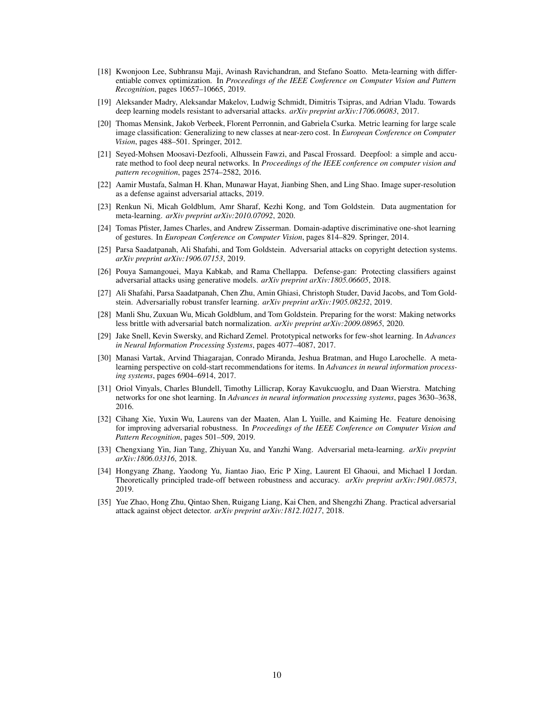- <span id="page-9-11"></span>[18] Kwonjoon Lee, Subhransu Maji, Avinash Ravichandran, and Stefano Soatto. Meta-learning with differentiable convex optimization. In *Proceedings of the IEEE Conference on Computer Vision and Pattern Recognition*, pages 10657–10665, 2019.
- <span id="page-9-2"></span>[19] Aleksander Madry, Aleksandar Makelov, Ludwig Schmidt, Dimitris Tsipras, and Adrian Vladu. Towards deep learning models resistant to adversarial attacks. *arXiv preprint arXiv:1706.06083*, 2017.
- <span id="page-9-9"></span>[20] Thomas Mensink, Jakob Verbeek, Florent Perronnin, and Gabriela Csurka. Metric learning for large scale image classification: Generalizing to new classes at near-zero cost. In *European Conference on Computer Vision*, pages 488–501. Springer, 2012.
- <span id="page-9-17"></span>[21] Seyed-Mohsen Moosavi-Dezfooli, Alhussein Fawzi, and Pascal Frossard. Deepfool: a simple and accurate method to fool deep neural networks. In *Proceedings of the IEEE conference on computer vision and pattern recognition*, pages 2574–2582, 2016.
- <span id="page-9-16"></span>[22] Aamir Mustafa, Salman H. Khan, Munawar Hayat, Jianbing Shen, and Ling Shao. Image super-resolution as a defense against adversarial attacks, 2019.
- <span id="page-9-13"></span>[23] Renkun Ni, Micah Goldblum, Amr Sharaf, Kezhi Kong, and Tom Goldstein. Data augmentation for meta-learning. *arXiv preprint arXiv:2010.07092*, 2020.
- <span id="page-9-5"></span>[24] Tomas Pfister, James Charles, and Andrew Zisserman. Domain-adaptive discriminative one-shot learning of gestures. In *European Conference on Computer Vision*, pages 814–829. Springer, 2014.
- <span id="page-9-1"></span>[25] Parsa Saadatpanah, Ali Shafahi, and Tom Goldstein. Adversarial attacks on copyright detection systems. *arXiv preprint arXiv:1906.07153*, 2019.
- <span id="page-9-4"></span>[26] Pouya Samangouei, Maya Kabkab, and Rama Chellappa. Defense-gan: Protecting classifiers against adversarial attacks using generative models. *arXiv preprint arXiv:1805.06605*, 2018.
- <span id="page-9-14"></span>[27] Ali Shafahi, Parsa Saadatpanah, Chen Zhu, Amin Ghiasi, Christoph Studer, David Jacobs, and Tom Goldstein. Adversarially robust transfer learning. *arXiv preprint arXiv:1905.08232*, 2019.
- <span id="page-9-12"></span>[28] Manli Shu, Zuxuan Wu, Micah Goldblum, and Tom Goldstein. Preparing for the worst: Making networks less brittle with adversarial batch normalization. *arXiv preprint arXiv:2009.08965*, 2020.
- <span id="page-9-8"></span>[29] Jake Snell, Kevin Swersky, and Richard Zemel. Prototypical networks for few-shot learning. In *Advances in Neural Information Processing Systems*, pages 4077–4087, 2017.
- <span id="page-9-6"></span>[30] Manasi Vartak, Arvind Thiagarajan, Conrado Miranda, Jeshua Bratman, and Hugo Larochelle. A metalearning perspective on cold-start recommendations for items. In *Advances in neural information processing systems*, pages 6904–6914, 2017.
- <span id="page-9-10"></span>[31] Oriol Vinyals, Charles Blundell, Timothy Lillicrap, Koray Kavukcuoglu, and Daan Wierstra. Matching networks for one shot learning. In *Advances in neural information processing systems*, pages 3630–3638, 2016.
- <span id="page-9-15"></span>[32] Cihang Xie, Yuxin Wu, Laurens van der Maaten, Alan L Yuille, and Kaiming He. Feature denoising for improving adversarial robustness. In *Proceedings of the IEEE Conference on Computer Vision and Pattern Recognition*, pages 501–509, 2019.
- <span id="page-9-7"></span>[33] Chengxiang Yin, Jian Tang, Zhiyuan Xu, and Yanzhi Wang. Adversarial meta-learning. *arXiv preprint arXiv:1806.03316*, 2018.
- <span id="page-9-3"></span>[34] Hongyang Zhang, Yaodong Yu, Jiantao Jiao, Eric P Xing, Laurent El Ghaoui, and Michael I Jordan. Theoretically principled trade-off between robustness and accuracy. *arXiv preprint arXiv:1901.08573*, 2019.
- <span id="page-9-0"></span>[35] Yue Zhao, Hong Zhu, Qintao Shen, Ruigang Liang, Kai Chen, and Shengzhi Zhang. Practical adversarial attack against object detector. *arXiv preprint arXiv:1812.10217*, 2018.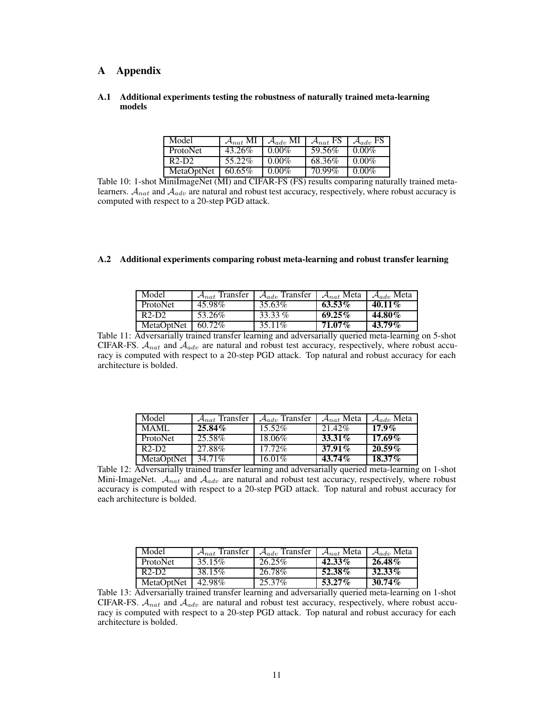# A Appendix

### A.1 Additional experiments testing the robustness of naturally trained meta-learning models

| Model           | $\mathcal{A}_{nat}$ MI | $\mathcal{A}_{adv}$ MI | $\mathcal{A}_{nat}$ FS | $\mathcal{A}_{adv}$ FS |
|-----------------|------------------------|------------------------|------------------------|------------------------|
| <b>ProtoNet</b> | 43.26%                 | $0.00\%$               | 59.56%                 | $0.00\%$               |
| $R2-D2$         | 55.22%                 | $0.00\%$               | 68.36%                 | $0.00\%$               |
| MetaOptNet      | 60.65%                 | $0.00\%$               | 70.99%                 | $0.00\%$               |

Table 10: 1-shot MiniImageNet (MI) and CIFAR-FS (FS) results comparing naturally trained metalearners.  $A_{nat}$  and  $A_{adv}$  are natural and robust test accuracy, respectively, where robust accuracy is computed with respect to a 20-step PGD attack.

#### A.2 Additional experiments comparing robust meta-learning and robust transfer learning

| Model                          | $A_{nat}$ Transfer | $\mathcal{A}_{adv}$ Transfer | $\mathcal{A}_{nat}$ Meta | $\mathcal{A}_{adv}$ Meta |
|--------------------------------|--------------------|------------------------------|--------------------------|--------------------------|
| <b>ProtoNet</b>                | 45.98%             | 35.63%                       | $63.53\%$                | 40.11%                   |
| R <sub>2</sub> -D <sub>2</sub> | 53.26%             | 33.33 $%$                    | $69.25\%$                | 44.80%                   |
| MetaOptNet                     | 60.72%             | 35.11\%                      | 71.07 <i>%</i>           | $43.79\%$                |

Table 11: Adversarially trained transfer learning and adversarially queried meta-learning on 5-shot CIFAR-FS.  $A_{nat}$  and  $A_{adv}$  are natural and robust test accuracy, respectively, where robust accuracy is computed with respect to a 20-step PGD attack. Top natural and robust accuracy for each architecture is bolded.

| Model           | $A_{nat}$ Transfer | $\mathcal{A}_{adv}$ Transfer | $\mathcal{A}_{nat}$ Meta | $\mathcal{A}_{adv}$ Meta |
|-----------------|--------------------|------------------------------|--------------------------|--------------------------|
| MAML.           | $25.84\%$          | $15.52\%$                    | 21.42%                   | $17.9\%$                 |
| <b>ProtoNet</b> | 25.58%             | 18.06%                       | $33.31\%$                | $17.69\%$                |
| $R2-D2$         | 27.88%             | $17.72\%$                    | $37.91\%$                | $20.59\%$                |
| MetaOptNet      | 34.71%             | 16.01%                       | $43.74\%$                | $18.37\%$                |

Table 12: Adversarially trained transfer learning and adversarially queried meta-learning on 1-shot Mini-ImageNet.  $A_{nat}$  and  $A_{adv}$  are natural and robust test accuracy, respectively, where robust accuracy is computed with respect to a 20-step PGD attack. Top natural and robust accuracy for each architecture is bolded.

| Model           | $A_{nat}$ Transfer | $\mathcal{A}_{adv}$ Transfer | $\mathcal{A}_{nat}$ Meta | $\mathcal{A}_{adv}$ Meta |
|-----------------|--------------------|------------------------------|--------------------------|--------------------------|
| <b>ProtoNet</b> | 35.15%             | 26.25%                       | $42.33\%$                | $26.48\%$                |
| $R2-D2$         | 38.15%             | 26.78%                       | 52.38%                   | 32.33%                   |
| MetaOptNet      | 42.98%             | 25.37%                       | $53.27\%$                | $30.74\%$                |

Table 13: Adversarially trained transfer learning and adversarially queried meta-learning on 1-shot CIFAR-FS.  $A_{nat}$  and  $A_{adv}$  are natural and robust test accuracy, respectively, where robust accuracy is computed with respect to a 20-step PGD attack. Top natural and robust accuracy for each architecture is bolded.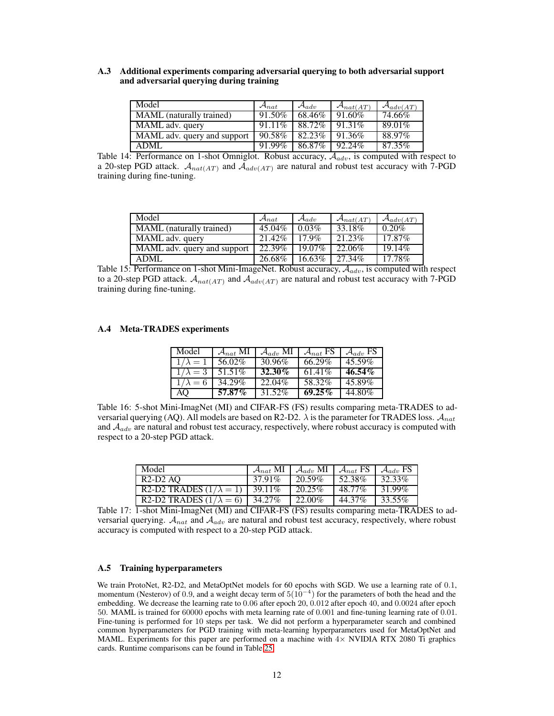### A.3 Additional experiments comparing adversarial querying to both adversarial support and adversarial querying during training

| Model                       | $\mathcal{A}_{nat}$ | $\mathcal{A}_{adv}$ | $\mathcal{A}_{nat(AT)}$ | $\mathcal{A}_{adv(AT)}$ |
|-----------------------------|---------------------|---------------------|-------------------------|-------------------------|
| MAML (naturally trained)    | 91.50%              | 68.46%              | $91.60\%$               | 74.66%                  |
| MAML adv. query             | $91.11\%$           | 88.72%              | 91.31\%                 | 89.01%                  |
| MAML adv. query and support | 90.58%              | 82.23%              | 91.36%                  | 88.97%                  |
| ADML                        | 91.99%              | 86.87%              | 92.24%                  | 87.35%                  |

Table 14: Performance on 1-shot Omniglot. Robust accuracy,  $A_{adv}$ , is computed with respect to a 20-step PGD attack.  $A_{nat(AT)}$  and  $A_{adv(AT)}$  are natural and robust test accuracy with 7-PGD training during fine-tuning.

| Model                               | $\mathcal{A}_{nat}$ | $\mathcal{A}_{adv}$ | $\mathcal{A}_{nat(AT)}$ | $\mathcal{A}_{adv(AT)}$ |
|-------------------------------------|---------------------|---------------------|-------------------------|-------------------------|
| MAML (naturally trained)            | 45.04%              | 0.03%               | 33.18%                  | $0.20\%$                |
| $\overline{\text{MAML}}$ adv. query | 21.42%              | 179%                | 21.23%                  | $17.87\%$               |
| MAML adv. query and support         | 22.39%              | 19.07%              | 22.06%                  | 19.14%                  |
| ADML                                | 26.68%              | $16.63\%$           | 27.34%                  | 17.78%                  |

Table 15: Performance on 1-shot Mini-ImageNet. Robust accuracy,  $A_{adv}$ , is computed with respect to a 20-step PGD attack.  $A_{nat(AT)}$  and  $A_{adv(AT)}$  are natural and robust test accuracy with 7-PGD training during fine-tuning.

### <span id="page-11-0"></span>A.4 Meta-TRADES experiments

| Model                  | $\mathcal{A}_{nat}$ MI | $\mathcal{A}_{adv}$ MI | $\mathcal{A}_{nat}$ FS | $\mathcal{A}_{adv}$ FS |
|------------------------|------------------------|------------------------|------------------------|------------------------|
| $1/\lambda = 1$        | 56.02%                 | 30.96%                 | 66.29%                 | 45.59%                 |
| $1/\lambda = 3$        | 51.51%                 | 32.30%                 | $61.41\%$              | $46.54\%$              |
| $\sqrt{1/\lambda} = 6$ | 34.29%                 | 22.04%                 | 58.32%                 | 45.89%                 |
| AO                     | $57.87\%$              | 31.52%                 | $69.25\%$              | 44.80%                 |

Table 16: 5-shot Mini-ImagNet (MI) and CIFAR-FS (FS) results comparing meta-TRADES to adversarial querying (AQ). All models are based on R2-D2.  $\lambda$  is the parameter for TRADES loss.  $A_{nat}$ and  $A_{adv}$  are natural and robust test accuracy, respectively, where robust accuracy is computed with respect to a 20-step PGD attack.

| Model                                   | $\mathcal{A}_{nat}$ MI | $\mathcal{A}_{adv}$ MI | $\mathcal{A}_{nat}$ FS $\mathcal{A}_{adv}$ FS |        |
|-----------------------------------------|------------------------|------------------------|-----------------------------------------------|--------|
| $R2-D2$ AO                              | 37.91%                 | 20.59%                 | 52.38%                                        | 32.33% |
| R2-D2 TRADES $(1/\lambda = 1)$   39.11% |                        | 20.25\%                | 48.77%                                        | 31.99% |
| R2-D2 TRADES $(1/\lambda = 6)$ 34.27%   |                        | 22.00%                 | 44.37%                                        | 33.55% |

Table 17: 1-shot Mini-ImagNet (MI) and CIFAR-FS (FS) results comparing meta-TRADES to adversarial querying.  $A_{nat}$  and  $A_{adv}$  are natural and robust test accuracy, respectively, where robust accuracy is computed with respect to a 20-step PGD attack.

### A.5 Training hyperparameters

We train ProtoNet, R2-D2, and MetaOptNet models for 60 epochs with SGD. We use a learning rate of 0.1, momentum (Nesterov) of 0.9, and a weight decay term of  $5(10^{-4})$  for the parameters of both the head and the embedding. We decrease the learning rate to 0.06 after epoch 20, 0.012 after epoch 40, and 0.0024 after epoch 50. MAML is trained for 60000 epochs with meta learning rate of 0.001 and fine-tuning learning rate of 0.01. Fine-tuning is performed for 10 steps per task. We did not perform a hyperparameter search and combined common hyperparameters for PGD training with meta-learning hyperparameters used for MetaOptNet and MAML. Experiments for this paper are performed on a machine with  $4\times$  NVIDIA RTX 2080 Ti graphics cards. Runtime comparisons can be found in Table [25.](#page-13-4)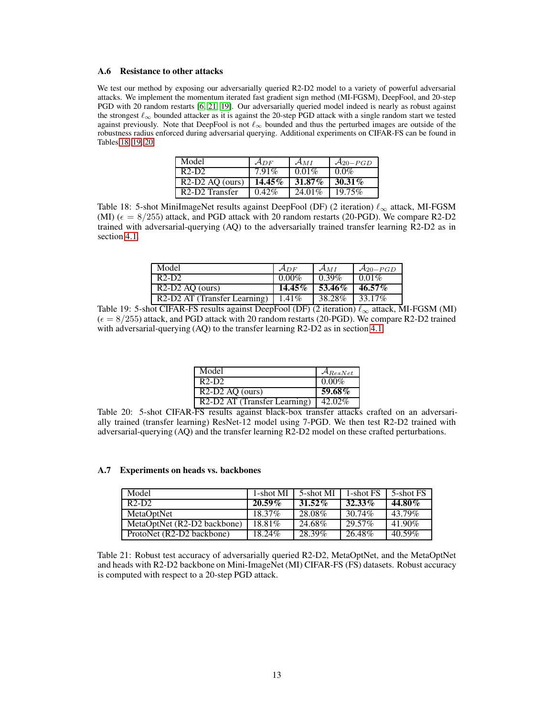#### <span id="page-12-0"></span>A.6 Resistance to other attacks

We test our method by exposing our adversarially queried R2-D2 model to a variety of powerful adversarial attacks. We implement the momentum iterated fast gradient sign method (MI-FGSM), DeepFool, and 20-step PGD with 20 random restarts [\[6,](#page-8-16) [21,](#page-9-17) [19\]](#page-9-2). Our adversarially queried model indeed is nearly as robust against the strongest  $\ell_{\infty}$  bounded attacker as it is against the 20-step PGD attack with a single random start we tested against previously. Note that DeepFool is not  $\ell_{\infty}$  bounded and thus the perturbed images are outside of the robustness radius enforced during adversarial querying. Additional experiments on CIFAR-FS can be found in Tables [18,](#page-12-2) [19,](#page-12-3) [20.](#page-12-4)

| Model                                   | $A_{DF}$  | $\mathcal{A}_{MI}$ | $\mathcal{A}_{20-PGD}$ |
|-----------------------------------------|-----------|--------------------|------------------------|
| $R2-D2$                                 | $7.91\%$  | $0.01\%$           | $0.0\%$                |
| $R2-D2$ AO (ours)                       | $14.45\%$ | $31.87\%$          | $30.31\%$              |
| R <sub>2</sub> -D <sub>2</sub> Transfer | $0.42\%$  | 24.01%             | $19.75\%$              |

<span id="page-12-2"></span>Table 18: 5-shot MiniImageNet results against DeepFool (DF) (2 iteration)  $\ell_{\infty}$  attack, MI-FGSM (MI) ( $\epsilon = 8/255$ ) attack, and PGD attack with 20 random restarts (20-PGD). We compare R2-D2 trained with adversarial-querying (AQ) to the adversarially trained transfer learning R2-D2 as in section [4.1.](#page-4-0)

| Model                        | $A_{DF}$  | $\mathcal{A}_{MI}$ | $\mathcal{A}_{20-PGD}$ |
|------------------------------|-----------|--------------------|------------------------|
| $R2-D2$                      | $0.00\%$  | $0.39\%$           | $0.01\%$               |
| $R2-D2$ AO (ours)            | $14.45\%$ | 53.46%             | $46.57\%$              |
| R2-D2 AT (Transfer Learning) | $1.41\%$  | 38.28%             | $133.17\%$             |

<span id="page-12-3"></span>Table 19: 5-shot CIFAR-FS results against DeepFool (DF) (2 iteration)  $\ell_{\infty}$  attack, MI-FGSM (MI)  $(\epsilon = 8/255)$  attack, and PGD attack with 20 random restarts (20-PGD). We compare R2-D2 trained with adversarial-querying (AQ) to the transfer learning R2-D2 as in section [4.1.](#page-4-0)

| Model                        | $\mathcal{A}_{ResNet}$ |
|------------------------------|------------------------|
| $R2-D2$                      | $0.00\%$               |
| $R2-D2$ AQ (ours)            | 59.68 $\overline{\%}$  |
| R2-D2 AT (Transfer Learning) | 42.02%                 |

<span id="page-12-4"></span>Table 20: 5-shot CIFAR-FS results against black-box transfer attacks crafted on an adversarially trained (transfer learning) ResNet-12 model using 7-PGD. We then test R2-D2 trained with adversarial-querying (AQ) and the transfer learning R2-D2 model on these crafted perturbations.

#### A.7 Experiments on heads vs. backbones

| Model                       | 1-shot MI | 5-shot MI | 1-shot FS | 5-shot FS |
|-----------------------------|-----------|-----------|-----------|-----------|
| $R2-D2$                     | $20.59\%$ | $31.52\%$ | 32.33%    | 44.80%    |
| MetaOptNet                  | $18.37\%$ | 28.08%    | 30.74%    | 43.79%    |
| MetaOptNet (R2-D2 backbone) | 18.81\%   | 24.68%    | 29.57%    | 41.90%    |
| ProtoNet (R2-D2 backbone)   | 18.24%    | 28.39%    | 26.48%    | 40.59%    |

<span id="page-12-1"></span>Table 21: Robust test accuracy of adversarially queried R2-D2, MetaOptNet, and the MetaOptNet and heads with R2-D2 backbone on Mini-ImageNet (MI) CIFAR-FS (FS) datasets. Robust accuracy is computed with respect to a 20-step PGD attack.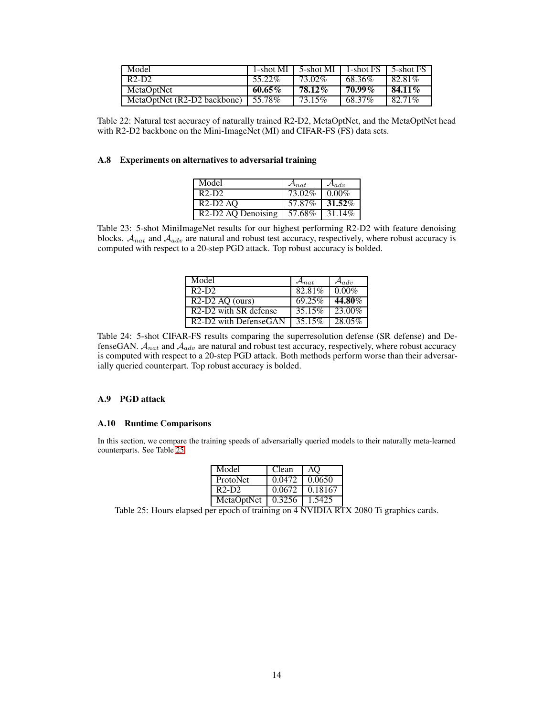| Model                       |           | 1-shot MI $\mid$ 5-shot MI $\mid$ 1-shot FS $\mid$ 5-shot FS |        |           |
|-----------------------------|-----------|--------------------------------------------------------------|--------|-----------|
| $R2-D2$                     | 55.22%    | $73.02\%$                                                    | 68.36% | 82.81\%   |
| MetaOptNet                  | $60.65\%$ | 78.12%                                                       | 70.99% | $84.11\%$ |
| MetaOptNet (R2-D2 backbone) | 55.78%    | 73.15%                                                       | 68.37% | 82.71%    |

<span id="page-13-1"></span>Table 22: Natural test accuracy of naturally trained R2-D2, MetaOptNet, and the MetaOptNet head with R2-D2 backbone on the Mini-ImageNet (MI) and CIFAR-FS (FS) data sets.

# A.8 Experiments on alternatives to adversarial training

| Model                                       | $\mathcal{A}_{nat}$ | $\mathcal{A}_{adv}$ |
|---------------------------------------------|---------------------|---------------------|
| $R2-D2$                                     | $73.02\%$           | $0.00\%$            |
| $R2-D2AO$                                   | 57.87%              | 31.52%              |
| R <sub>2</sub> -D <sub>2</sub> AQ Denoising | 57.68%              | 31.14%              |

<span id="page-13-2"></span>Table 23: 5-shot MiniImageNet results for our highest performing R2-D2 with feature denoising blocks.  $A_{nat}$  and  $A_{adv}$  are natural and robust test accuracy, respectively, where robust accuracy is computed with respect to a 20-step PGD attack. Top robust accuracy is bolded.

| Model                                          | $\mathcal{A}_{nat}$ | $\mathcal{A}_{adv}$ |
|------------------------------------------------|---------------------|---------------------|
| $R2-D2$                                        | 82.81%              | $0.00\%$            |
| $R2-D2$ AO (ours)                              | 69.25%              | 44.80%              |
| R <sub>2</sub> -D <sub>2</sub> with SR defense | $35.15\%$           | $23.00\%$           |
| $R2-D2$ with DefenseGAN                        | 35.15%              | 28.05%              |

<span id="page-13-3"></span>Table 24: 5-shot CIFAR-FS results comparing the superresolution defense (SR defense) and DefenseGAN.  $A_{nat}$  and  $A_{adv}$  are natural and robust test accuracy, respectively, where robust accuracy is computed with respect to a 20-step PGD attack. Both methods perform worse than their adversarially queried counterpart. Top robust accuracy is bolded.

# <span id="page-13-0"></span>A.9 PGD attack

### A.10 Runtime Comparisons

In this section, we compare the training speeds of adversarially queried models to their naturally meta-learned counterparts. See Table [25.](#page-13-4)

| Model             | Clean  | AO      |
|-------------------|--------|---------|
| ProtoNet          | 0.0472 | 10.0650 |
| $R2-D2$           | 0.0672 | 0.18167 |
| MetaOptNet 0.3256 |        | 1.5425  |

<span id="page-13-4"></span>Table 25: Hours elapsed per epoch of training on 4 NVIDIA RTX 2080 Ti graphics cards.